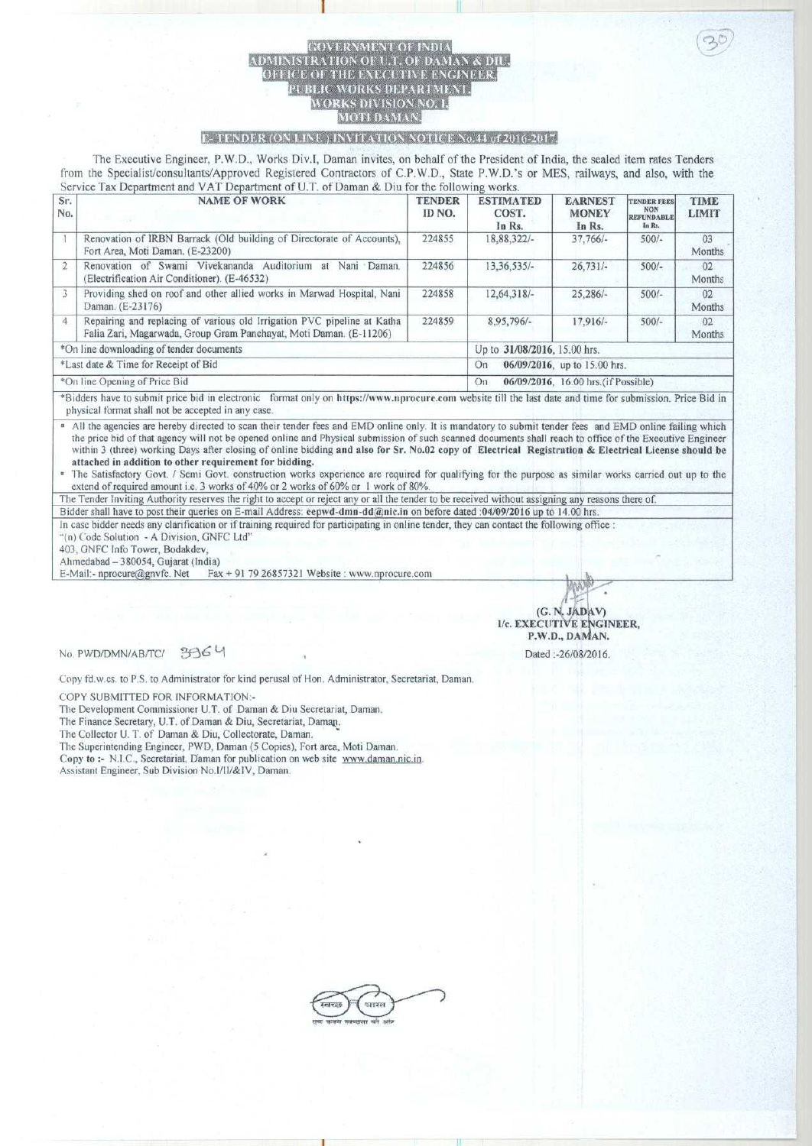## SOVERNMENT OF INDIA TION OF U.T. OF DAMAN & D<br>THE EXECUTIVE ENGINEER PUBLIC WORKS DEPARTMENT. WORKS DIVISION NO. 1. MOTI DAMAN

i

## *C<sub>r</sub>* **<b>FENDER** (ON LINE) INVITATION NOTICE No.44 of 2016-2017.

**The Executive Engineer, P.W.D., Works Div.l, Daman invites, on behalf of the President of India, the sealed item rates Tenders from the Specialist**/**consultants**/**Approved Registered Contractors** of C.P. **W.D., State P.W.D.'s or MES** , **railways**, **and also**, **with the Service Tax Department and VAT Department** of U.T. **of Daman & Diu for the following works.**

| Sr.<br>No.                               | <b>NAME OF WORK</b>                                                                                                                           | <b>TENDER</b><br>ID NO.      | <b>ESTIMATED</b><br>COST.<br>In Rs.        | <b>EARNEST</b><br><b>MONEY</b><br>In Rs. | <b>TENDER FEES</b><br><b>NON</b><br><b>REFUNDABLE</b><br>In Rs. | TIME<br><b>LIMIT</b> |  |
|------------------------------------------|-----------------------------------------------------------------------------------------------------------------------------------------------|------------------------------|--------------------------------------------|------------------------------------------|-----------------------------------------------------------------|----------------------|--|
|                                          | Renovation of IRBN Barrack (Old building of Directorate of Accounts),<br>Fort Area, Moti Daman. (E-23200)                                     | 224855                       | 18,88,322/-                                | $37,766/-$                               | $500/-$                                                         | 03<br>Months         |  |
| $\overline{2}$                           | Renovation of Swami Vivekananda Auditorium at Nani Daman<br>(Electrification Air Conditioner). (E-46532)                                      | 224856                       | $13.36.535/-$                              | $26,731/-$                               | $500/-$                                                         | 02<br>Months         |  |
| 3                                        | Providing shed on roof and other allied works in Marwad Hospital, Nani<br>Daman. (E-23176)                                                    | 224858                       | 12,64,318/-                                | $25,286/-$                               | $500/-$                                                         | 02<br>Months         |  |
| $\overline{4}$                           | Repairing and replacing of various old Irrigation PVC pipeline at Katha<br>Falia Zari, Magarwada, Group Gram Panchayat, Moti Daman. (E-11206) | 224859                       | 8,95,796/-                                 | $17.916/-$                               | $500/-$                                                         | 02<br>Months         |  |
| *On line downloading of tender documents |                                                                                                                                               | Up to 31/08/2016, 15.00 hrs. |                                            |                                          |                                                                 |                      |  |
| *Last date & Time for Receipt of Bid     |                                                                                                                                               |                              | 06/09/2016, up to 15.00 hrs.<br>On         |                                          |                                                                 |                      |  |
| *On line Opening of Price Bid            |                                                                                                                                               |                              | 06/09/2016, 16.00 hrs. (if Possible)<br>On |                                          |                                                                 |                      |  |

Bidders have to submit price hid in electronic format only on https://www.nprocure.coni website till the last date and time for submission. Price Bid in physical format shall not be accepted in any case.

<sup>a</sup> All the agencies are hereby directed to scan their tender fees and EMD online only. It is mandatory to submit tender fees and EMD online failing which the price hid of that agency will not be opened online and Physical submission of such scanned documents shall reach to office of the Executive Engineer within 3 (three) working Days after closing of online bidding and also for Sr. No.02 copy **of Electrical Registration** & **Electrical License should be attached in addition to other requirement for bidding.**

• The Satisfactory Govt. / Semi Govt. construction works experience are required for qualifying for the purpose as similar works carried out up to the extend of required amount i.e. 3 works of 40% or 2 works of 60% or I work of 80%.

The Tender Inviting Authority reserves the right to accept or reject any or all the tender to be received without assigning any reasons there of. Bidder shall have to post their queries on E-mail Address: eepwd-dmn-dd@nic.in on before dated :04/09/2016 up to 14.00 hrs.

In case bidder needs any clarification or if training required for participating in online tender, they can contact the following office :<br>"(n) Code Solution - A Division, GNFC Ltd"<br>403, GNFC Info Tower, Bodakdev,

°(n) Code Solution - A Division, GNFC Ltd"

Ahmedabad - 380054, Gujarat (India)

E-Mail:- nprocure@gnvfc. Net Fax + 91 79 26857321 Website : www.nprocure.com

(G. N. JADAV) **I/c. EXECUTIVE ENGINEER,** P.W.D., DAMAN.

**Dated** :-26!08/2016.

**No. PWD/DMN/AB/TC/ 3964** 

Copy fd.w.cs, to P.S. to Administrator for kind perusal of Hon. Administrator, Secretariat, Daman.

COPY SUBMITTED FOR INFORMATION:-

**The Development Commissioner U.T. of Daman & Diu Secretariat** , **Daman.**

**The Finance Secretary, U.T. of Daman** & **Diu, Secretariat** , **Damao.**

The Collector **U. T. of Daman & Diu, Collectorate, Daman.**

**The Superintending Engineer**, **PWD, Daman** ( **5 Copies** ), **Fort area** , **Moti Daman.** Copy **to :- N.I.C**., **Secretariat**. **Daman for publication on web site www.daman** . **nic.in.**

A**ssistant Engineer**, **Sub Division No.l/II/&IV, Daman.**

व्यापरस उत्तर